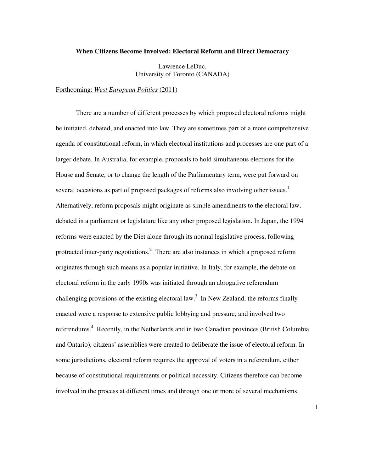# **When Citizens Become Involved: Electoral Reform and Direct Democracy**

Lawrence LeDuc, University of Toronto (CANADA)

Forthcoming: *West European Politics* (2011)

There are a number of different processes by which proposed electoral reforms might be initiated, debated, and enacted into law. They are sometimes part of a more comprehensive agenda of constitutional reform, in which electoral institutions and processes are one part of a larger debate. In Australia, for example, proposals to hold simultaneous elections for the House and Senate, or to change the length of the Parliamentary term, were put forward on several occasions as part of proposed packages of reforms also involving other issues.<sup>1</sup> Alternatively, reform proposals might originate as simple amendments to the electoral law, debated in a parliament or legislature like any other proposed legislation. In Japan, the 1994 reforms were enacted by the Diet alone through its normal legislative process, following protracted inter-party negotiations.<sup>2</sup> There are also instances in which a proposed reform originates through such means as a popular initiative. In Italy, for example, the debate on electoral reform in the early 1990s was initiated through an abrogative referendum challenging provisions of the existing electoral law.<sup>3</sup> In New Zealand, the reforms finally enacted were a response to extensive public lobbying and pressure, and involved two referendums.<sup>4</sup> Recently, in the Netherlands and in two Canadian provinces (British Columbia and Ontario), citizens' assemblies were created to deliberate the issue of electoral reform. In some jurisdictions, electoral reform requires the approval of voters in a referendum, either because of constitutional requirements or political necessity. Citizens therefore can become involved in the process at different times and through one or more of several mechanisms.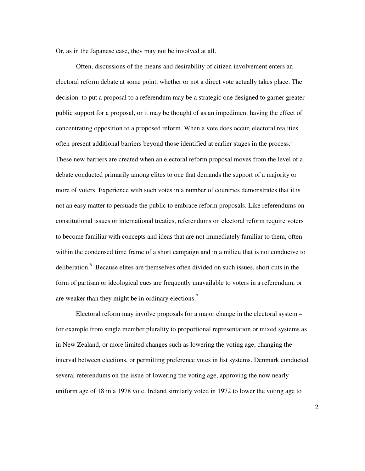Or, as in the Japanese case, they may not be involved at all.

Often, discussions of the means and desirability of citizen involvement enters an electoral reform debate at some point, whether or not a direct vote actually takes place. The decision to put a proposal to a referendum may be a strategic one designed to garner greater public support for a proposal, or it may be thought of as an impediment having the effect of concentrating opposition to a proposed reform. When a vote does occur, electoral realities often present additional barriers beyond those identified at earlier stages in the process.<sup>5</sup> These new barriers are created when an electoral reform proposal moves from the level of a debate conducted primarily among elites to one that demands the support of a majority or more of voters. Experience with such votes in a number of countries demonstrates that it is not an easy matter to persuade the public to embrace reform proposals. Like referendums on constitutional issues or international treaties, referendums on electoral reform require voters to become familiar with concepts and ideas that are not immediately familiar to them, often within the condensed time frame of a short campaign and in a milieu that is not conducive to deliberation.<sup>6</sup> Because elites are themselves often divided on such issues, short cuts in the form of partisan or ideological cues are frequently unavailable to voters in a referendum, or are weaker than they might be in ordinary elections.<sup>7</sup>

 Electoral reform may involve proposals for a major change in the electoral system – for example from single member plurality to proportional representation or mixed systems as in New Zealand, or more limited changes such as lowering the voting age, changing the interval between elections, or permitting preference votes in list systems. Denmark conducted several referendums on the issue of lowering the voting age, approving the now nearly uniform age of 18 in a 1978 vote. Ireland similarly voted in 1972 to lower the voting age to

 $\mathfrak{D}$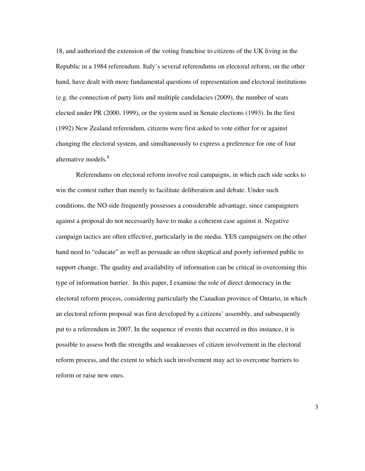18, and authorized the extension of the voting franchise to citizens of the UK living in the Republic in a 1984 referendum. Italy's several referendums on electoral reform, on the other hand, have dealt with more fundamental questions of representation and electoral institutions (e.g. the connection of party lists and multiple candidacies (2009), the number of seats elected under PR (2000, 1999), or the system used in Senate elections (1993). In the first (1992) New Zealand referendum, citizens were first asked to vote either for or against changing the electoral system, and simultaneously to express a preference for one of four alternative models.<sup>8</sup>

 Referendums on electoral reform involve real campaigns, in which each side seeks to win the contest rather than merely to facilitate deliberation and debate. Under such conditions, the NO side frequently possesses a considerable advantage, since campaigners against a proposal do not necessarily have to make a coherent case against it. Negative campaign tactics are often effective, particularly in the media. YES campaigners on the other hand need to "educate" as well as persuade an often skeptical and poorly informed public to support change. The quality and availability of information can be critical in overcoming this type of information barrier. In this paper, I examine the role of direct democracy in the electoral reform process, considering particularly the Canadian province of Ontario, in which an electoral reform proposal was first developed by a citizens' assembly, and subsequently put to a referendum in 2007. In the sequence of events that occurred in this instance, it is possible to assess both the strengths and weaknesses of citizen involvement in the electoral reform process, and the extent to which such involvement may act to overcome barriers to reform or raise new ones.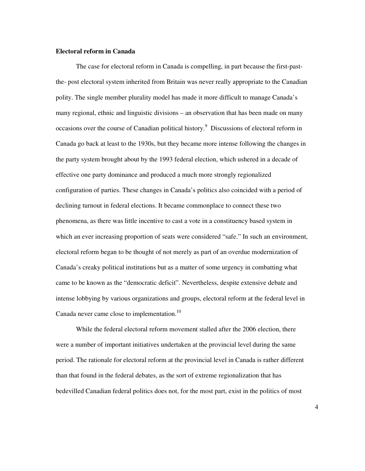### **Electoral reform in Canada**

 The case for electoral reform in Canada is compelling, in part because the first-pastthe- post electoral system inherited from Britain was never really appropriate to the Canadian polity. The single member plurality model has made it more difficult to manage Canada's many regional, ethnic and linguistic divisions – an observation that has been made on many occasions over the course of Canadian political history.<sup>9</sup> Discussions of electoral reform in Canada go back at least to the 1930s, but they became more intense following the changes in the party system brought about by the 1993 federal election, which ushered in a decade of effective one party dominance and produced a much more strongly regionalized configuration of parties. These changes in Canada's politics also coincided with a period of declining turnout in federal elections. It became commonplace to connect these two phenomena, as there was little incentive to cast a vote in a constituency based system in which an ever increasing proportion of seats were considered "safe." In such an environment, electoral reform began to be thought of not merely as part of an overdue modernization of Canada's creaky political institutions but as a matter of some urgency in combatting what came to be known as the "democratic deficit". Nevertheless, despite extensive debate and intense lobbying by various organizations and groups, electoral reform at the federal level in Canada never came close to implementation.<sup>10</sup>

 While the federal electoral reform movement stalled after the 2006 election, there were a number of important initiatives undertaken at the provincial level during the same period. The rationale for electoral reform at the provincial level in Canada is rather different than that found in the federal debates, as the sort of extreme regionalization that has bedevilled Canadian federal politics does not, for the most part, exist in the politics of most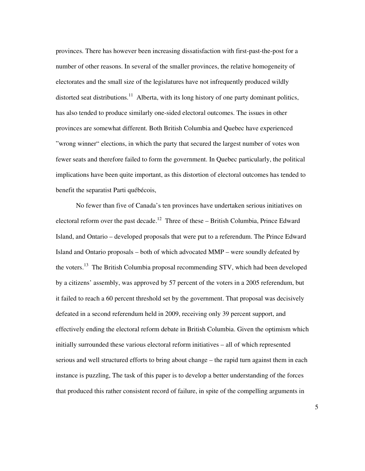provinces. There has however been increasing dissatisfaction with first-past-the-post for a number of other reasons. In several of the smaller provinces, the relative homogeneity of electorates and the small size of the legislatures have not infrequently produced wildly distorted seat distributions.<sup>11</sup> Alberta, with its long history of one party dominant politics, has also tended to produce similarly one-sided electoral outcomes. The issues in other provinces are somewhat different. Both British Columbia and Quebec have experienced "wrong winner" elections, in which the party that secured the largest number of votes won fewer seats and therefore failed to form the government. In Quebec particularly, the political implications have been quite important, as this distortion of electoral outcomes has tended to benefit the separatist Parti québécois,

 No fewer than five of Canada's ten provinces have undertaken serious initiatives on electoral reform over the past decade.<sup>12</sup> Three of these – British Columbia, Prince Edward Island, and Ontario – developed proposals that were put to a referendum. The Prince Edward Island and Ontario proposals – both of which advocated MMP – were soundly defeated by the voters.<sup>13</sup> The British Columbia proposal recommending STV, which had been developed by a citizens' assembly, was approved by 57 percent of the voters in a 2005 referendum, but it failed to reach a 60 percent threshold set by the government. That proposal was decisively defeated in a second referendum held in 2009, receiving only 39 percent support, and effectively ending the electoral reform debate in British Columbia. Given the optimism which initially surrounded these various electoral reform initiatives – all of which represented serious and well structured efforts to bring about change – the rapid turn against them in each instance is puzzling, The task of this paper is to develop a better understanding of the forces that produced this rather consistent record of failure, in spite of the compelling arguments in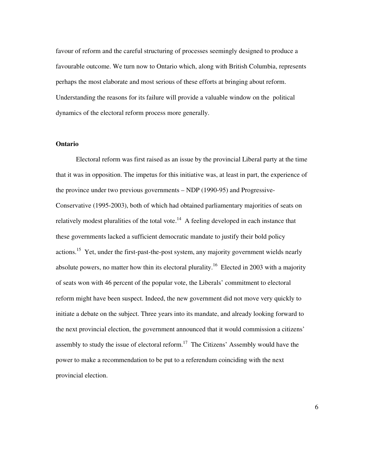favour of reform and the careful structuring of processes seemingly designed to produce a favourable outcome. We turn now to Ontario which, along with British Columbia, represents perhaps the most elaborate and most serious of these efforts at bringing about reform. Understanding the reasons for its failure will provide a valuable window on the political dynamics of the electoral reform process more generally.

# **Ontario**

 Electoral reform was first raised as an issue by the provincial Liberal party at the time that it was in opposition. The impetus for this initiative was, at least in part, the experience of the province under two previous governments – NDP (1990-95) and Progressive-Conservative (1995-2003), both of which had obtained parliamentary majorities of seats on relatively modest pluralities of the total vote.<sup>14</sup> A feeling developed in each instance that these governments lacked a sufficient democratic mandate to justify their bold policy actions.<sup>15</sup> Yet, under the first-past-the-post system, any majority government wields nearly absolute powers, no matter how thin its electoral plurality.<sup>16</sup> Elected in 2003 with a majority of seats won with 46 percent of the popular vote, the Liberals' commitment to electoral reform might have been suspect. Indeed, the new government did not move very quickly to initiate a debate on the subject. Three years into its mandate, and already looking forward to the next provincial election, the government announced that it would commission a citizens' assembly to study the issue of electoral reform.<sup>17</sup> The Citizens' Assembly would have the power to make a recommendation to be put to a referendum coinciding with the next provincial election.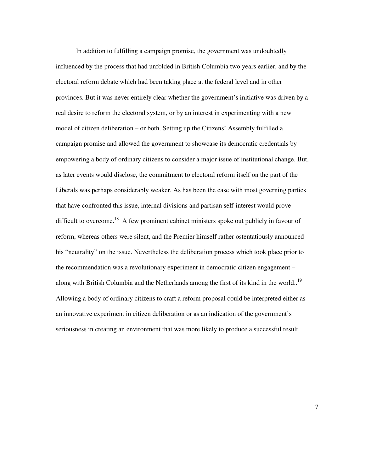In addition to fulfilling a campaign promise, the government was undoubtedly influenced by the process that had unfolded in British Columbia two years earlier, and by the electoral reform debate which had been taking place at the federal level and in other provinces. But it was never entirely clear whether the government's initiative was driven by a real desire to reform the electoral system, or by an interest in experimenting with a new model of citizen deliberation – or both. Setting up the Citizens' Assembly fulfilled a campaign promise and allowed the government to showcase its democratic credentials by empowering a body of ordinary citizens to consider a major issue of institutional change. But, as later events would disclose, the commitment to electoral reform itself on the part of the Liberals was perhaps considerably weaker. As has been the case with most governing parties that have confronted this issue, internal divisions and partisan self-interest would prove difficult to overcome.<sup>18</sup> A few prominent cabinet ministers spoke out publicly in favour of reform, whereas others were silent, and the Premier himself rather ostentatiously announced his "neutrality" on the issue. Nevertheless the deliberation process which took place prior to the recommendation was a revolutionary experiment in democratic citizen engagement – along with British Columbia and the Netherlands among the first of its kind in the world..<sup>19</sup> Allowing a body of ordinary citizens to craft a reform proposal could be interpreted either as an innovative experiment in citizen deliberation or as an indication of the government's seriousness in creating an environment that was more likely to produce a successful result.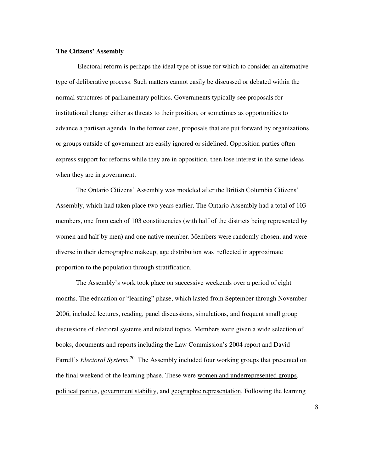### **The Citizens' Assembly**

 Electoral reform is perhaps the ideal type of issue for which to consider an alternative type of deliberative process. Such matters cannot easily be discussed or debated within the normal structures of parliamentary politics. Governments typically see proposals for institutional change either as threats to their position, or sometimes as opportunities to advance a partisan agenda. In the former case, proposals that are put forward by organizations or groups outside of government are easily ignored or sidelined. Opposition parties often express support for reforms while they are in opposition, then lose interest in the same ideas when they are in government.

 The Ontario Citizens' Assembly was modeled after the British Columbia Citizens' Assembly, which had taken place two years earlier. The Ontario Assembly had a total of 103 members, one from each of 103 constituencies (with half of the districts being represented by women and half by men) and one native member. Members were randomly chosen, and were diverse in their demographic makeup; age distribution was reflected in approximate proportion to the population through stratification.

 The Assembly's work took place on successive weekends over a period of eight months. The education or "learning" phase, which lasted from September through November 2006, included lectures, reading, panel discussions, simulations, and frequent small group discussions of electoral systems and related topics. Members were given a wide selection of books, documents and reports including the Law Commission's 2004 report and David Farrell's *Electoral Systems*.<sup>20</sup> The Assembly included four working groups that presented on the final weekend of the learning phase. These were women and underrepresented groups, political parties, government stability, and geographic representation. Following the learning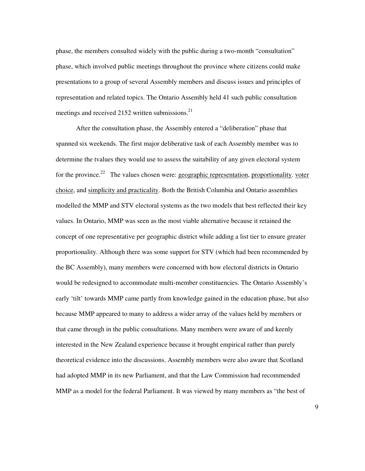phase, the members consulted widely with the public during a two-month "consultation" phase, which involved public meetings throughout the province where citizens could make presentations to a group of several Assembly members and discuss issues and principles of representation and related topics. The Ontario Assembly held 41 such public consultation meetings and received 2152 written submissions. $^{21}$ 

 After the consultation phase, the Assembly entered a "deliberation" phase that spanned six weekends. The first major deliberative task of each Assembly member was to determine the tvalues they would use to assess the suitability of any given electoral system for the province.<sup>22</sup> The values chosen were: geographic representation, proportionality, voter choice, and simplicity and practicality. Both the British Columbia and Ontario assemblies modelled the MMP and STV electoral systems as the two models that best reflected their key values. In Ontario, MMP was seen as the most viable alternative because it retained the concept of one representative per geographic district while adding a list tier to ensure greater proportionality. Although there was some support for STV (which had been recommended by the BC Assembly), many members were concerned with how electoral districts in Ontario would be redesigned to accommodate multi-member constituencies. The Ontario Assembly's early 'tilt' towards MMP came partly from knowledge gained in the education phase, but also because MMP appeared to many to address a wider array of the values held by members or that came through in the public consultations. Many members were aware of and keenly interested in the New Zealand experience because it brought empirical rather than purely theoretical evidence into the discussions. Assembly members were also aware that Scotland had adopted MMP in its new Parliament, and that the Law Commission had recommended MMP as a model for the federal Parliament. It was viewed by many members as "the best of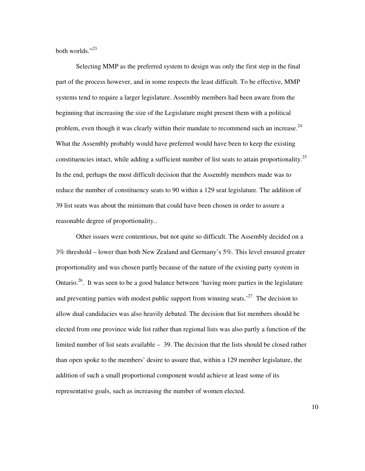both worlds $"$ <sup>23</sup>

 Selecting MMP as the preferred system to design was only the first step in the final part of the process however, and in some respects the least difficult. To be effective, MMP systems tend to require a larger legislature. Assembly members had been aware from the beginning that increasing the size of the Legislature might present them with a political problem, even though it was clearly within their mandate to recommend such an increase. $^{24}$ What the Assembly probably would have preferred would have been to keep the existing constituencies intact, while adding a sufficient number of list seats to attain proportionality.<sup>25</sup> In the end, perhaps the most difficult decision that the Assembly members made was to reduce the number of constituency seats to 90 within a 129 seat legislature. The addition of 39 list seats was about the minimum that could have been chosen in order to assure a reasonable degree of proportionality..

Other issues were contentious, but not quite so difficult. The Assembly decided on a 3% threshold – lower than both New Zealand and Germany's 5%. This level ensured greater proportionality and was chosen partly because of the nature of the existing party system in Ontario.<sup>26</sup>. It was seen to be a good balance between 'having more parties in the legislature and preventing parties with modest public support from winning seats.<sup>27</sup> The decision to allow dual candidacies was also heavily debated. The decision that list members should be elected from one province wide list rather than regional lists was also partly a function of the limited number of list seats available – 39. The decision that the lists should be closed rather than open spoke to the members' desire to assure that, within a 129 member legislature, the addition of such a small proportional component would achieve at least some of its representative goals, such as increasing the number of women elected.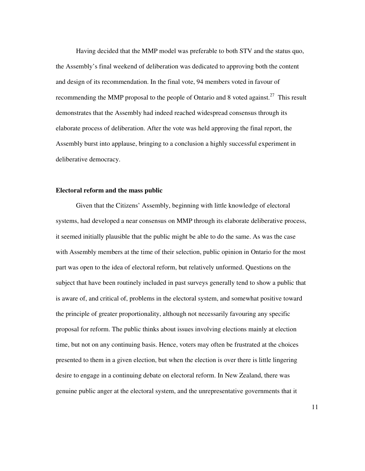Having decided that the MMP model was preferable to both STV and the status quo, the Assembly's final weekend of deliberation was dedicated to approving both the content and design of its recommendation. In the final vote, 94 members voted in favour of recommending the MMP proposal to the people of Ontario and 8 voted against.<sup>27</sup> This result demonstrates that the Assembly had indeed reached widespread consensus through its elaborate process of deliberation. After the vote was held approving the final report, the Assembly burst into applause, bringing to a conclusion a highly successful experiment in deliberative democracy.

## **Electoral reform and the mass public**

 Given that the Citizens' Assembly, beginning with little knowledge of electoral systems, had developed a near consensus on MMP through its elaborate deliberative process, it seemed initially plausible that the public might be able to do the same. As was the case with Assembly members at the time of their selection, public opinion in Ontario for the most part was open to the idea of electoral reform, but relatively unformed. Questions on the subject that have been routinely included in past surveys generally tend to show a public that is aware of, and critical of, problems in the electoral system, and somewhat positive toward the principle of greater proportionality, although not necessarily favouring any specific proposal for reform. The public thinks about issues involving elections mainly at election time, but not on any continuing basis. Hence, voters may often be frustrated at the choices presented to them in a given election, but when the election is over there is little lingering desire to engage in a continuing debate on electoral reform. In New Zealand, there was genuine public anger at the electoral system, and the unrepresentative governments that it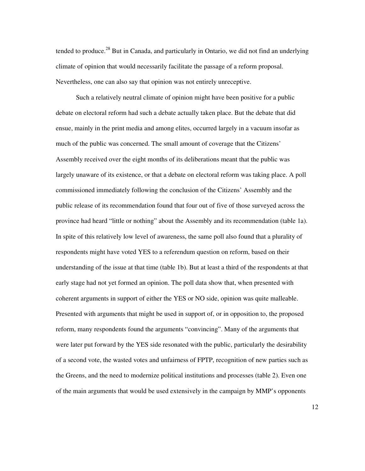tended to produce.<sup>28</sup> But in Canada, and particularly in Ontario, we did not find an underlying climate of opinion that would necessarily facilitate the passage of a reform proposal. Nevertheless, one can also say that opinion was not entirely unreceptive.

 Such a relatively neutral climate of opinion might have been positive for a public debate on electoral reform had such a debate actually taken place. But the debate that did ensue, mainly in the print media and among elites, occurred largely in a vacuum insofar as much of the public was concerned. The small amount of coverage that the Citizens' Assembly received over the eight months of its deliberations meant that the public was largely unaware of its existence, or that a debate on electoral reform was taking place. A poll commissioned immediately following the conclusion of the Citizens' Assembly and the public release of its recommendation found that four out of five of those surveyed across the province had heard "little or nothing" about the Assembly and its recommendation (table 1a). In spite of this relatively low level of awareness, the same poll also found that a plurality of respondents might have voted YES to a referendum question on reform, based on their understanding of the issue at that time (table 1b). But at least a third of the respondents at that early stage had not yet formed an opinion. The poll data show that, when presented with coherent arguments in support of either the YES or NO side, opinion was quite malleable. Presented with arguments that might be used in support of, or in opposition to, the proposed reform, many respondents found the arguments "convincing". Many of the arguments that were later put forward by the YES side resonated with the public, particularly the desirability of a second vote, the wasted votes and unfairness of FPTP, recognition of new parties such as the Greens, and the need to modernize political institutions and processes (table 2). Even one of the main arguments that would be used extensively in the campaign by MMP's opponents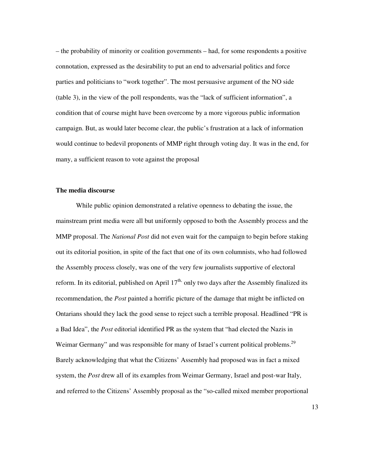– the probability of minority or coalition governments – had, for some respondents a positive connotation, expressed as the desirability to put an end to adversarial politics and force parties and politicians to "work together". The most persuasive argument of the NO side (table 3), in the view of the poll respondents, was the "lack of sufficient information", a condition that of course might have been overcome by a more vigorous public information campaign. But, as would later become clear, the public's frustration at a lack of information would continue to bedevil proponents of MMP right through voting day. It was in the end, for many, a sufficient reason to vote against the proposal

# **The media discourse**

 While public opinion demonstrated a relative openness to debating the issue, the mainstream print media were all but uniformly opposed to both the Assembly process and the MMP proposal. The *National Post* did not even wait for the campaign to begin before staking out its editorial position, in spite of the fact that one of its own columnists, who had followed the Assembly process closely, was one of the very few journalists supportive of electoral reform. In its editorial, published on April  $17<sup>th</sup>$ , only two days after the Assembly finalized its recommendation, the *Post* painted a horrific picture of the damage that might be inflicted on Ontarians should they lack the good sense to reject such a terrible proposal. Headlined "PR is a Bad Idea", the *Post* editorial identified PR as the system that "had elected the Nazis in Weimar Germany" and was responsible for many of Israel's current political problems.<sup>29</sup> Barely acknowledging that what the Citizens' Assembly had proposed was in fact a mixed system, the *Post* drew all of its examples from Weimar Germany, Israel and post-war Italy, and referred to the Citizens' Assembly proposal as the "so-called mixed member proportional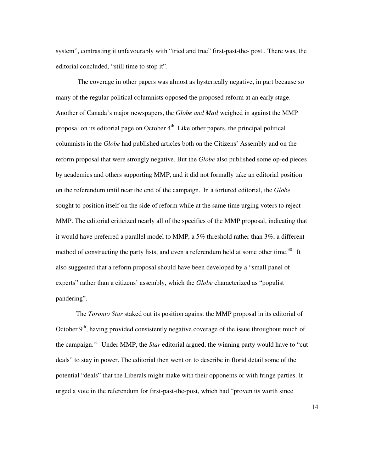system", contrasting it unfavourably with "tried and true" first-past-the- post.. There was, the editorial concluded, "still time to stop it".

 The coverage in other papers was almost as hysterically negative, in part because so many of the regular political columnists opposed the proposed reform at an early stage. Another of Canada's major newspapers, the *Globe and Mail* weighed in against the MMP proposal on its editorial page on October  $4<sup>th</sup>$ . Like other papers, the principal political columnists in the *Globe* had published articles both on the Citizens' Assembly and on the reform proposal that were strongly negative. But the *Globe* also published some op-ed pieces by academics and others supporting MMP, and it did not formally take an editorial position on the referendum until near the end of the campaign. In a tortured editorial, the *Globe* sought to position itself on the side of reform while at the same time urging voters to reject MMP. The editorial criticized nearly all of the specifics of the MMP proposal, indicating that it would have preferred a parallel model to MMP, a 5% threshold rather than  $3\%$ , a different method of constructing the party lists, and even a referendum held at some other time.<sup>30</sup>It also suggested that a reform proposal should have been developed by a "small panel of experts" rather than a citizens' assembly, which the *Globe* characterized as "populist pandering".

 The *Toronto Star* staked out its position against the MMP proposal in its editorial of October  $9<sup>th</sup>$ , having provided consistently negative coverage of the issue throughout much of the campaign.<sup>31</sup> Under MMP, the *Star* editorial argued, the winning party would have to "cut deals" to stay in power. The editorial then went on to describe in florid detail some of the potential "deals" that the Liberals might make with their opponents or with fringe parties. It urged a vote in the referendum for first-past-the-post, which had "proven its worth since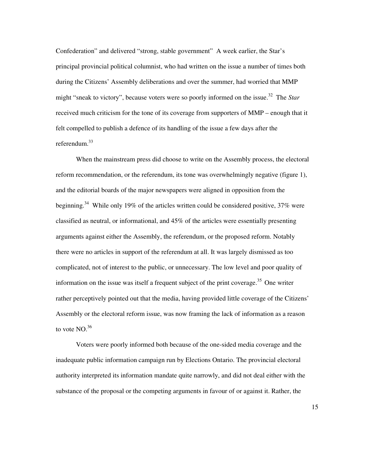Confederation" and delivered "strong, stable government" A week earlier, the Star's principal provincial political columnist, who had written on the issue a number of times both during the Citizens' Assembly deliberations and over the summer, had worried that MMP might "sneak to victory", because voters were so poorly informed on the issue.<sup>32</sup> The *Star* received much criticism for the tone of its coverage from supporters of MMP – enough that it felt compelled to publish a defence of its handling of the issue a few days after the referendum.<sup>33</sup>

 When the mainstream press did choose to write on the Assembly process, the electoral reform recommendation, or the referendum, its tone was overwhelmingly negative (figure 1), and the editorial boards of the major newspapers were aligned in opposition from the beginning.<sup>34</sup> While only 19% of the articles written could be considered positive,  $37\%$  were classified as neutral, or informational, and 45% of the articles were essentially presenting arguments against either the Assembly, the referendum, or the proposed reform. Notably there were no articles in support of the referendum at all. It was largely dismissed as too complicated, not of interest to the public, or unnecessary. The low level and poor quality of information on the issue was itself a frequent subject of the print coverage.<sup>35</sup> One writer rather perceptively pointed out that the media, having provided little coverage of the Citizens' Assembly or the electoral reform issue, was now framing the lack of information as a reason to vote  $NO.^{36}$ 

 Voters were poorly informed both because of the one-sided media coverage and the inadequate public information campaign run by Elections Ontario. The provincial electoral authority interpreted its information mandate quite narrowly, and did not deal either with the substance of the proposal or the competing arguments in favour of or against it. Rather, the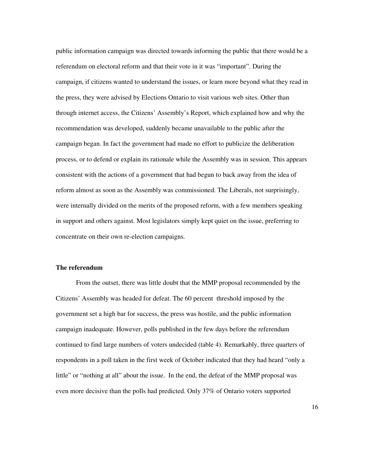public information campaign was directed towards informing the public that there would be a referendum on electoral reform and that their vote in it was "important". During the campaign, if citizens wanted to understand the issues, or learn more beyond what they read in the press, they were advised by Elections Ontario to visit various web sites. Other than through internet access, the Citizens' Assembly's Report, which explained how and why the recommendation was developed, suddenly became unavailable to the public after the campaign began. In fact the government had made no effort to publicize the deliberation process, or to defend or explain its rationale while the Assembly was in session. This appears consistent with the actions of a government that had begun to back away from the idea of reform almost as soon as the Assembly was commissioned. The Liberals, not surprisingly, were internally divided on the merits of the proposed reform, with a few members speaking in support and others against. Most legislators simply kept quiet on the issue, preferring to concentrate on their own re-election campaigns.

# **The referendum**

 From the outset, there was little doubt that the MMP proposal recommended by the Citizens' Assembly was headed for defeat. The 60 percent threshold imposed by the government set a high bar for success, the press was hostile, and the public information campaign inadequate. However, polls published in the few days before the referendum continued to find large numbers of voters undecided (table 4). Remarkably, three quarters of respondents in a poll taken in the first week of October indicated that they had heard "only a little" or "nothing at all" about the issue. In the end, the defeat of the MMP proposal was even more decisive than the polls had predicted. Only 37% of Ontario voters supported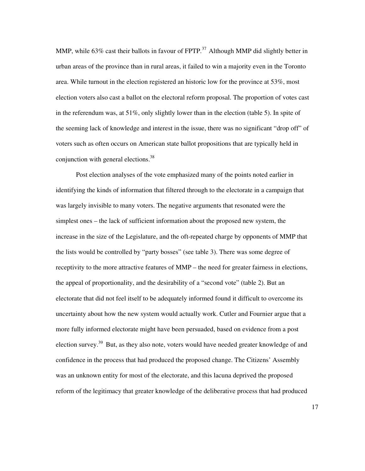MMP, while 63% cast their ballots in favour of  $FPTP$ .<sup>37</sup> Although MMP did slightly better in urban areas of the province than in rural areas, it failed to win a majority even in the Toronto area. While turnout in the election registered an historic low for the province at 53%, most election voters also cast a ballot on the electoral reform proposal. The proportion of votes cast in the referendum was, at  $51\%$ , only slightly lower than in the election (table 5). In spite of the seeming lack of knowledge and interest in the issue, there was no significant "drop off" of voters such as often occurs on American state ballot propositions that are typically held in conjunction with general elections. $38$ 

 Post election analyses of the vote emphasized many of the points noted earlier in identifying the kinds of information that filtered through to the electorate in a campaign that was largely invisible to many voters. The negative arguments that resonated were the simplest ones – the lack of sufficient information about the proposed new system, the increase in the size of the Legislature, and the oft-repeated charge by opponents of MMP that the lists would be controlled by "party bosses" (see table 3). There was some degree of receptivity to the more attractive features of MMP – the need for greater fairness in elections, the appeal of proportionality, and the desirability of a "second vote" (table 2). But an electorate that did not feel itself to be adequately informed found it difficult to overcome its uncertainty about how the new system would actually work. Cutler and Fournier argue that a more fully informed electorate might have been persuaded, based on evidence from a post election survey.<sup>39</sup> But, as they also note, voters would have needed greater knowledge of and confidence in the process that had produced the proposed change. The Citizens' Assembly was an unknown entity for most of the electorate, and this lacuna deprived the proposed reform of the legitimacy that greater knowledge of the deliberative process that had produced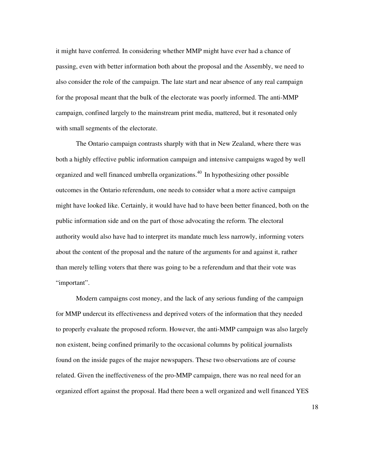it might have conferred. In considering whether MMP might have ever had a chance of passing, even with better information both about the proposal and the Assembly, we need to also consider the role of the campaign. The late start and near absence of any real campaign for the proposal meant that the bulk of the electorate was poorly informed. The anti-MMP campaign, confined largely to the mainstream print media, mattered, but it resonated only with small segments of the electorate.

 The Ontario campaign contrasts sharply with that in New Zealand, where there was both a highly effective public information campaign and intensive campaigns waged by well organized and well financed umbrella organizations.<sup>40</sup> In hypothesizing other possible outcomes in the Ontario referendum, one needs to consider what a more active campaign might have looked like. Certainly, it would have had to have been better financed, both on the public information side and on the part of those advocating the reform. The electoral authority would also have had to interpret its mandate much less narrowly, informing voters about the content of the proposal and the nature of the arguments for and against it, rather than merely telling voters that there was going to be a referendum and that their vote was "important".

 Modern campaigns cost money, and the lack of any serious funding of the campaign for MMP undercut its effectiveness and deprived voters of the information that they needed to properly evaluate the proposed reform. However, the anti-MMP campaign was also largely non existent, being confined primarily to the occasional columns by political journalists found on the inside pages of the major newspapers. These two observations are of course related. Given the ineffectiveness of the pro-MMP campaign, there was no real need for an organized effort against the proposal. Had there been a well organized and well financed YES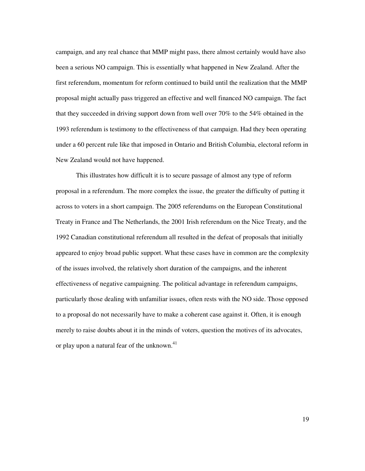campaign, and any real chance that MMP might pass, there almost certainly would have also been a serious NO campaign. This is essentially what happened in New Zealand. After the first referendum, momentum for reform continued to build until the realization that the MMP proposal might actually pass triggered an effective and well financed NO campaign. The fact that they succeeded in driving support down from well over 70% to the 54% obtained in the 1993 referendum is testimony to the effectiveness of that campaign. Had they been operating under a 60 percent rule like that imposed in Ontario and British Columbia, electoral reform in New Zealand would not have happened.

 This illustrates how difficult it is to secure passage of almost any type of reform proposal in a referendum. The more complex the issue, the greater the difficulty of putting it across to voters in a short campaign. The 2005 referendums on the European Constitutional Treaty in France and The Netherlands, the 2001 Irish referendum on the Nice Treaty, and the 1992 Canadian constitutional referendum all resulted in the defeat of proposals that initially appeared to enjoy broad public support. What these cases have in common are the complexity of the issues involved, the relatively short duration of the campaigns, and the inherent effectiveness of negative campaigning. The political advantage in referendum campaigns, particularly those dealing with unfamiliar issues, often rests with the NO side. Those opposed to a proposal do not necessarily have to make a coherent case against it. Often, it is enough merely to raise doubts about it in the minds of voters, question the motives of its advocates, or play upon a natural fear of the unknown.<sup>41</sup>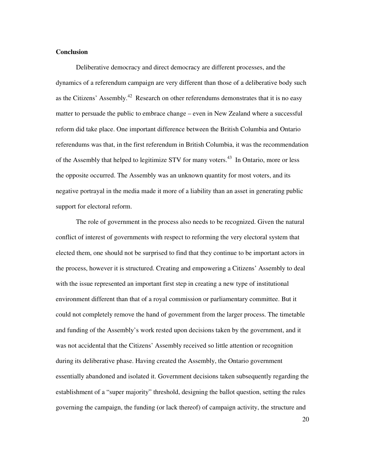# **Conclusion**

 Deliberative democracy and direct democracy are different processes, and the dynamics of a referendum campaign are very different than those of a deliberative body such as the Citizens' Assembly.<sup>42</sup> Research on other referendums demonstrates that it is no easy matter to persuade the public to embrace change – even in New Zealand where a successful reform did take place. One important difference between the British Columbia and Ontario referendums was that, in the first referendum in British Columbia, it was the recommendation of the Assembly that helped to legitimize STV for many voters.<sup>43</sup> In Ontario, more or less the opposite occurred. The Assembly was an unknown quantity for most voters, and its negative portrayal in the media made it more of a liability than an asset in generating public support for electoral reform.

 The role of government in the process also needs to be recognized. Given the natural conflict of interest of governments with respect to reforming the very electoral system that elected them, one should not be surprised to find that they continue to be important actors in the process, however it is structured. Creating and empowering a Citizens' Assembly to deal with the issue represented an important first step in creating a new type of institutional environment different than that of a royal commission or parliamentary committee. But it could not completely remove the hand of government from the larger process. The timetable and funding of the Assembly's work rested upon decisions taken by the government, and it was not accidental that the Citizens' Assembly received so little attention or recognition during its deliberative phase. Having created the Assembly, the Ontario government essentially abandoned and isolated it. Government decisions taken subsequently regarding the establishment of a "super majority" threshold, designing the ballot question, setting the rules governing the campaign, the funding (or lack thereof) of campaign activity, the structure and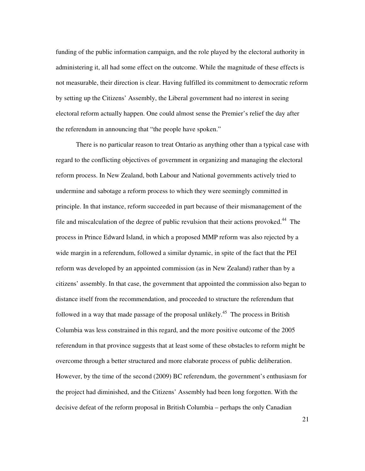funding of the public information campaign, and the role played by the electoral authority in administering it, all had some effect on the outcome. While the magnitude of these effects is not measurable, their direction is clear. Having fulfilled its commitment to democratic reform by setting up the Citizens' Assembly, the Liberal government had no interest in seeing electoral reform actually happen. One could almost sense the Premier's relief the day after the referendum in announcing that "the people have spoken."

 There is no particular reason to treat Ontario as anything other than a typical case with regard to the conflicting objectives of government in organizing and managing the electoral reform process. In New Zealand, both Labour and National governments actively tried to undermine and sabotage a reform process to which they were seemingly committed in principle. In that instance, reform succeeded in part because of their mismanagement of the file and miscalculation of the degree of public revulsion that their actions provoked.<sup>44</sup> The process in Prince Edward Island, in which a proposed MMP reform was also rejected by a wide margin in a referendum, followed a similar dynamic, in spite of the fact that the PEI reform was developed by an appointed commission (as in New Zealand) rather than by a citizens' assembly. In that case, the government that appointed the commission also began to distance itself from the recommendation, and proceeded to structure the referendum that followed in a way that made passage of the proposal unlikely.<sup>45</sup> The process in British Columbia was less constrained in this regard, and the more positive outcome of the 2005 referendum in that province suggests that at least some of these obstacles to reform might be overcome through a better structured and more elaborate process of public deliberation. However, by the time of the second (2009) BC referendum, the government's enthusiasm for the project had diminished, and the Citizens' Assembly had been long forgotten. With the decisive defeat of the reform proposal in British Columbia – perhaps the only Canadian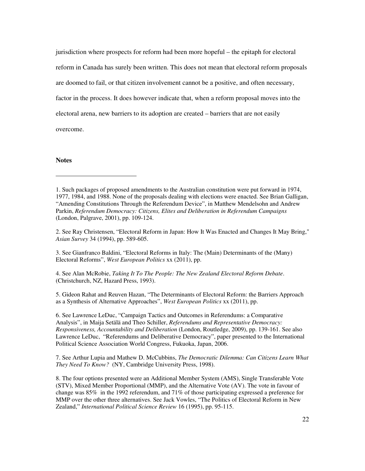jurisdiction where prospects for reform had been more hopeful – the epitaph for electoral reform in Canada has surely been written. This does not mean that electoral reform proposals are doomed to fail, or that citizen involvement cannot be a positive, and often necessary, factor in the process. It does however indicate that, when a reform proposal moves into the electoral arena, new barriers to its adoption are created – barriers that are not easily overcome.

### **Notes**

l

2. See Ray Christensen, "Electoral Reform in Japan: How It Was Enacted and Changes It May Bring," *Asian Survey* 34 (1994), pp. 589-605.

3. See Gianfranco Baldini, "Electoral Reforms in Italy: The (Main) Determinants of the (Many) Electoral Reforms", *West European Politics* xx (2011), pp.

4. See Alan McRobie, *Taking It To The People: The New Zealand Electoral Reform Debate*. (Christchurch, NZ, Hazard Press, 1993).

5. Gideon Rahat and Reuven Hazan, "The Determinants of Electoral Reform: the Barriers Approach as a Synthesis of Alternative Approaches", *West European Politics* xx (2011), pp.

6. See Lawrence LeDuc, "Campaign Tactics and Outcomes in Referendums: a Comparative Analysis", in Maija Setälä and Theo Schiller, *Referendums and Representative Democracy: Responsiveness, Accountability and Deliberation* (London, Routledge, 2009), pp. 139-161. See also Lawrence LeDuc, "Referendums and Deliberative Democracy", paper presented to the International Political Science Association World Congress, Fukuoka, Japan, 2006.

7. See Arthur Lupia and Mathew D. McCubbins, *The Democratic Dilemma: Can Citizens Learn What They Need To Know?* (NY, Cambridge University Press, 1998).

8. The four options presented were an Additional Member System (AMS), Single Transferable Vote (STV), Mixed Member Proportional (MMP), and the Alternative Vote (AV). The vote in favour of change was 85% in the 1992 referendum, and 71% of those participating expressed a preference for MMP over the other three alternatives. See Jack Vowles, "The Politics of Electoral Reform in New Zealand," *International Political Science Review* 16 (1995), pp. 95-115.

<sup>1.</sup> Such packages of proposed amendments to the Australian constitution were put forward in 1974, 1977, 1984, and 1988. None of the proposals dealing with elections were enacted. See Brian Galligan, "Amending Constitutions Through the Referendum Device", in Matthew Mendelsohn and Andrew Parkin, *Referendum Democracy: Citizens, Elites and Deliberation in Referendum Campaigns* (London, Palgrave, 2001), pp. 109-124.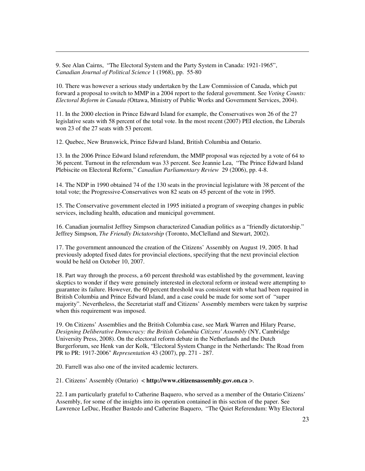9. See Alan Cairns, "The Electoral System and the Party System in Canada: 1921-1965", *Canadian Journal of Political Science* 1 (1968), pp. 55-80

 $\overline{a}$ 

10. There was however a serious study undertaken by the Law Commission of Canada, which put forward a proposal to switch to MMP in a 2004 report to the federal government. See *Voting Counts: Electoral Reform in Canada (*Ottawa, Ministry of Public Works and Government Services, 2004).

11. In the 2000 election in Prince Edward Island for example, the Conservatives won 26 of the 27 legislative seats with 58 percent of the total vote. In the most recent (2007) PEI election, the Liberals won 23 of the 27 seats with 53 percent.

12. Quebec, New Brunswick, Prince Edward Island, British Columbia and Ontario.

13. In the 2006 Prince Edward Island referendum, the MMP proposal was rejected by a vote of 64 to 36 percent. Turnout in the referendum was 33 percent. See Jeannie Lea, "The Prince Edward Island Plebiscite on Electoral Reform," *Canadian Parliamentary Review* 29 (2006), pp. 4-8.

14. The NDP in 1990 obtained 74 of the 130 seats in the provincial legislature with 38 percent of the total vote; the Progressive-Conservatives won 82 seats on 45 percent of the vote in 1995.

15. The Conservative government elected in 1995 initiated a program of sweeping changes in public services, including health, education and municipal government.

16. Canadian journalist Jeffrey Simpson characterized Canadian politics as a "friendly dictatorship." Jeffrey Simpson, *The Friendly Dictatorship* (Toronto, McClelland and Stewart, 2002).

17. The government announced the creation of the Citizens' Assembly on August 19, 2005. It had previously adopted fixed dates for provincial elections, specifying that the next provincial election would be held on October 10, 2007.

18. Part way through the process, a 60 percent threshold was established by the government, leaving skeptics to wonder if they were genuinely interested in electoral reform or instead were attempting to guarantee its failure. However, the 60 percent threshold was consistent with what had been required in British Columbia and Prince Edward Island, and a case could be made for some sort of "super majority". Nevertheless, the Secretariat staff and Citizens' Assembly members were taken by surprise when this requirement was imposed.

19. On Citizens' Assemblies and the British Columbia case, see Mark Warren and Hilary Pearse, *Designing Deliberative Democracy: the British Columbia Citizens' Assembly* (NY, Cambridge University Press, 2008). On the electoral reform debate in the Netherlands and the Dutch Burgerforum, see Henk van der Kolk, "Electoral System Change in the Netherlands: The Road from PR to PR: 1917-2006" *Representation* 43 (2007), pp. 271 - 287.

20. Farrell was also one of the invited academic lecturers.

21. Citizens' Assembly (Ontario) < **http://www.citizensassembly.gov.on.ca** >.

22. I am particularly grateful to Catherine Baquero, who served as a member of the Ontario Citizens' Assembly, for some of the insights into its operation contained in this section of the paper. See Lawrence LeDuc, Heather Bastedo and Catherine Baquero, "The Quiet Referendum: Why Electoral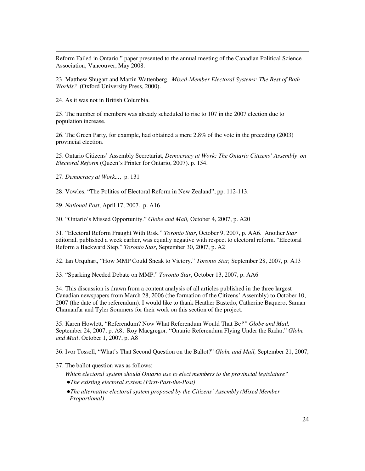Reform Failed in Ontario." paper presented to the annual meeting of the Canadian Political Science Association, Vancouver, May 2008.

23. Matthew Shugart and Martin Wattenberg, *Mixed-Member Electoral Systems: The Best of Both Worlds?* (Oxford University Press, 2000).

24. As it was not in British Columbia.

 $\overline{a}$ 

25. The number of members was already scheduled to rise to 107 in the 2007 election due to population increase.

26. The Green Party, for example, had obtained a mere 2.8% of the vote in the preceding (2003) provincial election.

25. Ontario Citizens' Assembly Secretariat, *Democracy at Work: The Ontario Citizens' Assembly on Electoral Reform* (Queen's Printer for Ontario, 2007). p. 154.

27. *Democracy at Work...*, p. 131

28. Vowles, "The Politics of Electoral Reform in New Zealand", pp. 112-113.

29. *National Post*, April 17, 2007. p. A16

30. "Ontario's Missed Opportunity." *Globe and Mail,* October 4, 2007, p. A20

31. "Electoral Reform Fraught With Risk." *Toronto Star*, October 9, 2007, p. AA6. Another *Star*  editorial, published a week earlier, was equally negative with respect to electoral reform. "Electoral Reform a Backward Step." *Toronto Star*, September 30, 2007, p. A2

32. Ian Urquhart, "How MMP Could Sneak to Victory." *Toronto Star,* September 28, 2007, p. A13

33. "Sparking Needed Debate on MMP." *Toronto Star*, October 13, 2007, p. AA6

34. This discussion is drawn from a content analysis of all articles published in the three largest Canadian newspapers from March 28, 2006 (the formation of the Citizens' Assembly) to October 10, 2007 (the date of the referendum). I would like to thank Heather Bastedo, Catherine Baquero, Saman Chamanfar and Tyler Sommers for their work on this section of the project.

35. Karen Howlett, "Referendum? Now What Referendum Would That Be*?" Globe and Mail,* September 24, 2007, p. A8; Roy Macgregor. "Ontario Referendum Flying Under the Radar." *Globe and Mail*, October 1, 2007, p. A8

36. Ivor Tossell, "What's That Second Question on the Ballot?" *Globe and Mail,* September 21, 2007,

37. The ballot question was as follows:

 *Which electoral system should Ontario use to elect members to the provincial legislature?* 

- !*The existing electoral system (First-Past-the-Post)*
- !*The alternative electoral system proposed by the Citizens' Assembly (Mixed Member Proportional)*